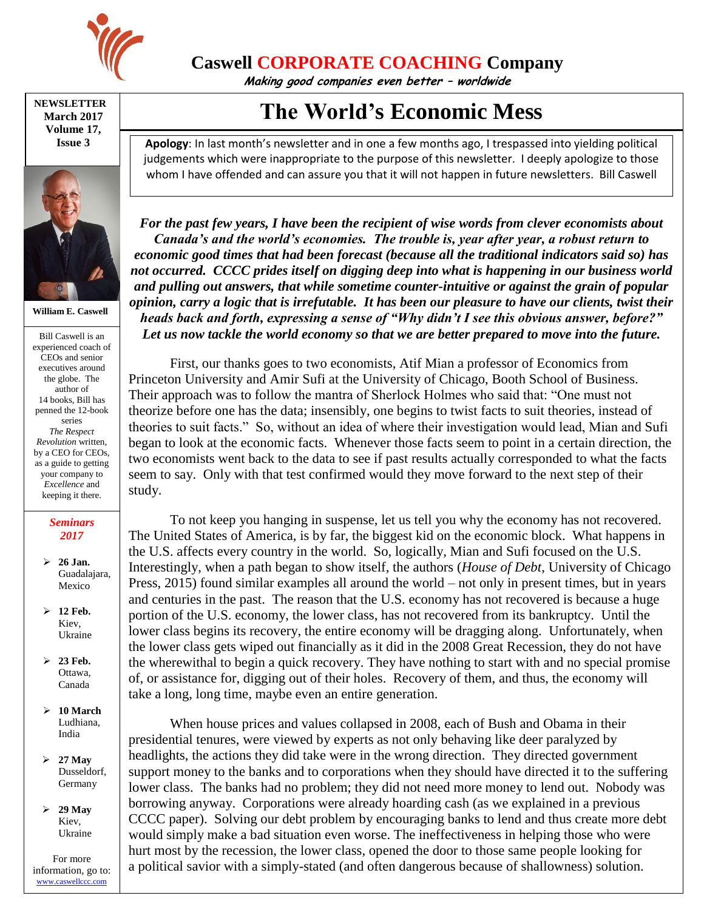

## **Caswell CORPORATE COACHING Company**

**Making good companies even better – worldwide**

**NEWSLETTER March 2017 Volume 17, Issue 3**



**William E. Caswell**

Bill Caswell is an experienced coach of CEOs and senior executives around the globe. The author of 14 books, Bill has penned the 12-book series *The Respect Revolution* written, by a CEO for CEOs, as a guide to getting your company to *Excellence* and keeping it there.

## *Seminars 2017*

- **26 Jan.** Guadalajara, Mexico
- **12 Feb.** Kiev, Ukraine
- **23 Feb.** Ottawa, Canada
- **10 March** Ludhiana, India
- **27 May** Dusseldorf, Germany
- **29 May** Kiev, Ukraine

For more information, go to: [www.caswellccc.com](http://www.caswellccc.com/)

## **The World's Economic Mess**

**Apology**: In last month's newsletter and in one a few months ago, I trespassed into yielding political judgements which were inappropriate to the purpose of this newsletter. I deeply apologize to those whom I have offended and can assure you that it will not happen in future newsletters. Bill Caswell

*For the past few years, I have been the recipient of wise words from clever economists about Canada's and the world's economies. The trouble is, year after year, a robust return to economic good times that had been forecast (because all the traditional indicators said so) has not occurred. CCCC prides itself on digging deep into what is happening in our business world and pulling out answers, that while sometime counter-intuitive or against the grain of popular opinion, carry a logic that is irrefutable. It has been our pleasure to have our clients, twist their heads back and forth, expressing a sense of "Why didn't I see this obvious answer, before?" Let us now tackle the world economy so that we are better prepared to move into the future.*

First, our thanks goes to two economists, Atif Mian a professor of Economics from Princeton University and Amir Sufi at the University of Chicago, Booth School of Business. Their approach was to follow the mantra of Sherlock Holmes who said that: "One must not theorize before one has the data; insensibly, one begins to twist facts to suit theories, instead of theories to suit facts." So, without an idea of where their investigation would lead, Mian and Sufi began to look at the economic facts. Whenever those facts seem to point in a certain direction, the two economists went back to the data to see if past results actually corresponded to what the facts seem to say. Only with that test confirmed would they move forward to the next step of their study.

To not keep you hanging in suspense, let us tell you why the economy has not recovered. The United States of America, is by far, the biggest kid on the economic block. What happens in the U.S. affects every country in the world. So, logically, Mian and Sufi focused on the U.S. Interestingly, when a path began to show itself, the authors (*House of Debt*, University of Chicago Press, 2015) found similar examples all around the world – not only in present times, but in years and centuries in the past. The reason that the U.S. economy has not recovered is because a huge portion of the U.S. economy, the lower class, has not recovered from its bankruptcy. Until the lower class begins its recovery, the entire economy will be dragging along. Unfortunately, when the lower class gets wiped out financially as it did in the 2008 Great Recession, they do not have the wherewithal to begin a quick recovery. They have nothing to start with and no special promise of, or assistance for, digging out of their holes. Recovery of them, and thus, the economy will take a long, long time, maybe even an entire generation.

When house prices and values collapsed in 2008, each of Bush and Obama in their presidential tenures, were viewed by experts as not only behaving like deer paralyzed by headlights, the actions they did take were in the wrong direction. They directed government support money to the banks and to corporations when they should have directed it to the suffering lower class. The banks had no problem; they did not need more money to lend out. Nobody was borrowing anyway. Corporations were already hoarding cash (as we explained in a previous CCCC paper). Solving our debt problem by encouraging banks to lend and thus create more debt would simply make a bad situation even worse. The ineffectiveness in helping those who were hurt most by the recession, the lower class, opened the door to those same people looking for a political savior with a simply-stated (and often dangerous because of shallowness) solution.